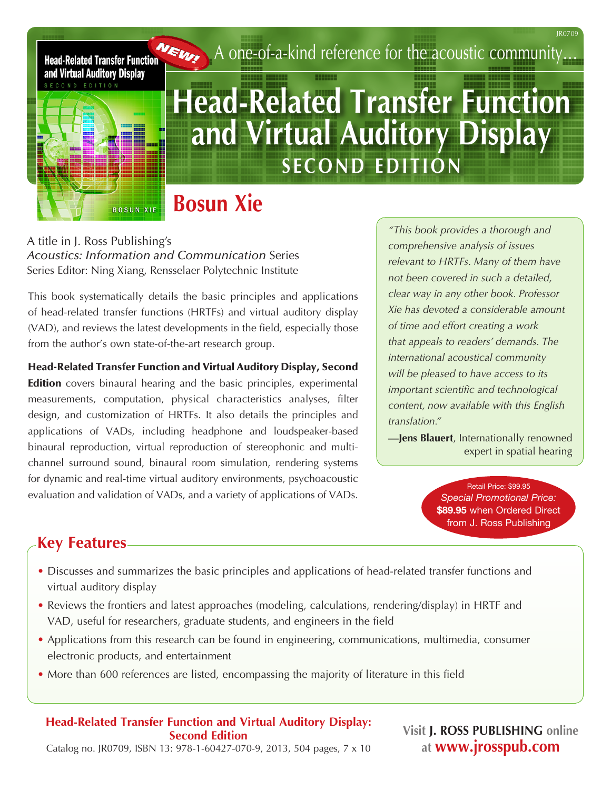

# **MEM** A one-of-a-kind reference for the acoustic community...

# **Head-Related Transfer Function and Virtual Auditory Display SECOND EDITION**

# **Bosun Xie**

A title in J. Ross Publishing's *Acoustics: Information and Communication* Series Series Editor: Ning Xiang, Rensselaer Polytechnic Institute

This book systematically details the basic principles and applications of head-related transfer functions (HRTFs) and virtual auditory display (VAD), and reviews the latest developments in the field, especially those from the author's own state-of-the-art research group.

Head-Related Transfer Function and Virtual Auditory Display, Second

**Edition** covers binaural hearing and the basic principles, experimental measurements, computation, physical characteristics analyses, filter design, and customization of HRTFs. It also details the principles and applications of VADs, including headphone and loudspeaker-based binaural reproduction, virtual reproduction of stereophonic and multichannel surround sound, binaural room simulation, rendering systems for dynamic and real-time virtual auditory environments, psychoacoustic evaluation and validation of VADs, and a variety of applications of VADs.

*"This book provides a thorough and comprehensive analysis of issues relevant to HRTFs. Many of them have not been covered in such a detailed, clear way in any other book. Professor Xie has devoted a considerable amount of time and effort creating a work that appeals to readers' demands. The international acoustical community will be pleased to have access to its important scientific and technological content, now available with this English translation."*

**—Jens Blauert**, Internationally renowned expert in spatial hearing

> Retail Price: \$99.95 *Special Promotional Price:*  \$89.95 when Ordered Direct from J. Ross Publishing

# **Key Features**

- Discusses and summarizes the basic principles and applications of head-related transfer functions and virtual auditory display
- Reviews the frontiers and latest approaches (modeling, calculations, rendering/display) in HRTF and VAD, useful for researchers, graduate students, and engineers in the field
- Applications from this research can be found in engineering, communications, multimedia, consumer electronic products, and entertainment
- More than 600 references are listed, encompassing the majority of literature in this field

### **Head-Related Transfer Function and Virtual Auditory Display: Second Edition**

**Visit J. ROSS PUBLISHING online at www.jrosspub.com**

Catalog no. JR0709, ISBN 13: 978-1-60427-070-9, 2013, 504 pages, 7 x 10